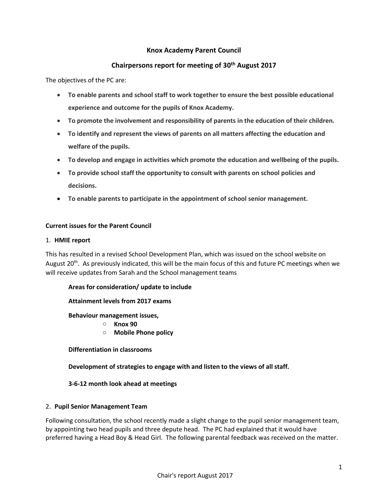## **Knox Academy Parent Council**

# **Chairpersons report for meeting of 30 th August 2017**

The objectives of the PC are:

- **To enable parents and school staff to work together to ensure the best possible educational experience and outcome for the pupils of Knox Academy.**
- **To promote the involvement and responsibility of parents in the education of their children.**
- **To identify and represent the views of parents on all matters affecting the education and welfare of the pupils.**
- **To develop and engage in activities which promote the education and wellbeing of the pupils.**
- **To provide school staff the opportunity to consult with parents on school policies and decisions.**
- **To enable parents to participate in the appointment of school senior management.**

#### **Current issues for the Parent Council**

#### 1. **HMIE report**

This has resulted in a revised School Development Plan, which was issued on the school website on August 20<sup>th</sup>. As previously indicated, this will be the main focus of this and future PC meetings when we will receive updates from Sarah and the School management teams

#### **Areas for consideration/ update to include**

#### **Attainment levels from 2017 exams**

**Behaviour management issues,**

- o **Knox 90**
- o **Mobile Phone policy**

**Differentiation in classrooms**

**Development of strategies to engage with and listen to the views of all staff.**

## **3-6-12 month look ahead at meetings**

#### 2. **Pupil Senior Management Team**

Following consultation, the school recently made a slight change to the pupil senior management team, by appointing two head pupils and three depute head. The PC had explained that it would have preferred having a Head Boy & Head Girl. The following parental feedback was received on the matter.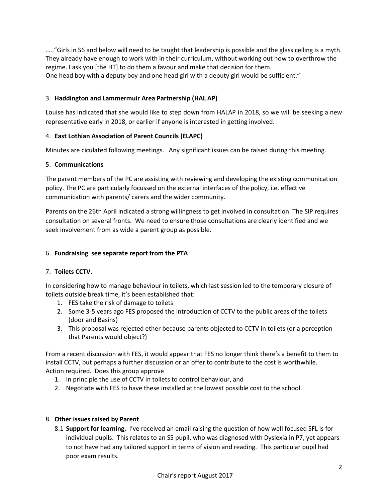….."Girls in S6 and below will need to be taught that leadership is possible and the glass ceiling is a myth. They already have enough to work with in their curriculum, without working out how to overthrow the regime. I ask you [the HT] to do them a favour and make that decision for them. One head boy with a deputy boy and one head girl with a deputy girl would be sufficient."

## 3. **Haddington and Lammermuir Area Partnership (HAL AP)**

Louise has indicated that she would like to step down from HALAP in 2018, so we will be seeking a new representative early in 2018, or earlier if anyone is interested in getting involved.

## 4. **East Lothian Association of Parent Councils (ELAPC)**

Minutes are ciculated following meetings. Any significant issues can be raised during this meeting.

## 5. **Communications**

The parent members of the PC are assisting with reviewing and developing the existing communication policy. The PC are particularly focussed on the external interfaces of the policy, i.e. effective communication with parents/ carers and the wider community.

Parents on the 26th April indicated a strong willingness to get involved in consultation. The SIP requires consultation on several fronts. We need to ensure those consultations are clearly identified and we seek involvement from as wide a parent group as possible.

## 6. **Fundraising see separate report from the PTA**

## 7. **Toilets CCTV.**

In considering how to manage behaviour in toilets, which last session led to the temporary closure of toilets outside break time, it's been established that:

- 1. FES take the risk of damage to toilets
- 2. Some 3-5 years ago FES proposed the introduction of CCTV to the public areas of the toilets (door and Basins)
- 3. This proposal was rejected ether because parents objected to CCTV in toilets (or a perception that Parents would object?)

From a recent discussion with FES, it would appear that FES no longer think there's a benefit to them to install CCTV, but perhaps a further discussion or an offer to contribute to the cost is worthwhile. Action required. Does this group approve

- 1. In principle the use of CCTV in toilets to control behaviour, and
- 2. Negotiate with FES to have these installed at the lowest possible cost to the school.

## 8. **Other issues raised by Parent**

8.1 **Support for learning**, I've received an email raising the question of how well focused SFL is for individual pupils. This relates to an S5 pupil, who was diagnosed with Dyslexia in P7, yet appears to not have had any tailored support in terms of vision and reading. This particular pupil had poor exam results.